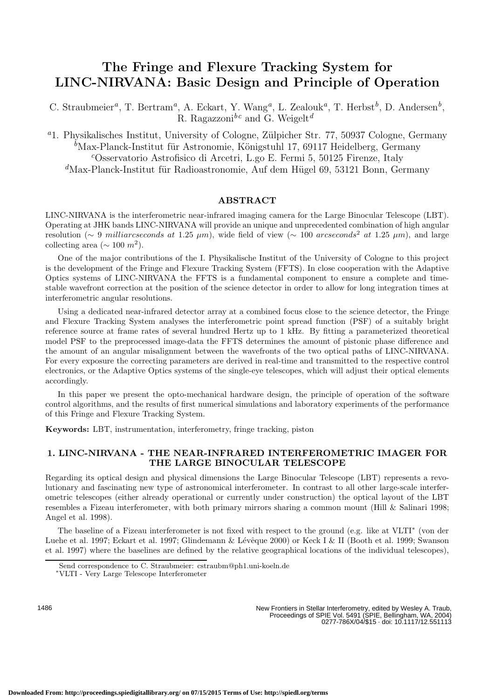# **The Fringe and Flexure Tracking System for LINC-NIRVANA: Basic Design and Principle of Operation**

C. Straubmeier<sup>a</sup>, T. Bertram<sup>a</sup>, A. Eckart, Y. Wang<sup>a</sup>, L. Zealouk<sup>a</sup>, T. Herbst<sup>b</sup>, D. Andersen<sup>b</sup>, R. Ragazzoni*bc* and G. Weigelt *d*

 $^a$ 1. Physikalisches Institut, University of Cologne, Zülpicher Str. 77, 50937 Cologne, Germany $^b$ Max-Planck-Institut für Astronomie, Königstuhl 17, 69117 Heidelberg, Germany  $^c$ Osservatorio Astrofisico di Arcetri, L.g

## **ABSTRACT**

LINC-NIRVANA is the interferometric near-infrared imaging camera for the Large Binocular Telescope (LBT). Operating at JHK bands LINC-NIRVANA will provide an unique and unprecedented combination of high angular resolution ( $\sim 9$  milliarcseconds at 1.25  $\mu$ m), wide field of view ( $\sim 100$  arcseconds<sup>2</sup> at 1.25  $\mu$ m), and large collecting area ( $\sim 100$   $m^2$ ).

One of the major contributions of the I. Physikalische Institut of the University of Cologne to this project is the development of the Fringe and Flexure Tracking System (FFTS). In close cooperation with the Adaptive Optics systems of LINC-NIRVANA the FFTS is a fundamental component to ensure a complete and timestable wavefront correction at the position of the science detector in order to allow for long integration times at interferometric angular resolutions.

Using a dedicated near-infrared detector array at a combined focus close to the science detector, the Fringe and Flexure Tracking System analyses the interferometric point spread function (PSF) of a suitably bright reference source at frame rates of several hundred Hertz up to 1 kHz. By fitting a parameterized theoretical model PSF to the preprocessed image-data the FFTS determines the amount of pistonic phase difference and the amount of an angular misalignment between the wavefronts of the two optical paths of LINC-NIRVANA. For every exposure the correcting parameters are derived in real-time and transmitted to the respective control electronics, or the Adaptive Optics systems of the single-eye telescopes, which will adjust their optical elements accordingly.

In this paper we present the opto-mechanical hardware design, the principle of operation of the software control algorithms, and the results of first numerical simulations and laboratory experiments of the performance of this Fringe and Flexure Tracking System.

**Keywords:** LBT, instrumentation, interferometry, fringe tracking, piston

## **1. LINC-NIRVANA - THE NEAR-INFRARED INTERFEROMETRIC IMAGER FOR THE LARGE BINOCULAR TELESCOPE**

Regarding its optical design and physical dimensions the Large Binocular Telescope (LBT) represents a revolutionary and fascinating new type of astronomical interferometer. In contrast to all other large-scale interferometric telescopes (either already operational or currently under construction) the optical layout of the LBT resembles a Fizeau interferometer, with both primary mirrors sharing a common mount (Hill & Salinari 1998; Angel et al. 1998).

The baseline of a Fizeau interferometer is not fixed with respect to the ground (e.g. like at VLTI<sup>∗</sup> (von der Luehe et al. 1997; Eckart et al. 1997; Glindemann & Lévêque 2000) or Keck I & II (Booth et al. 1999; Swanson et al. 1997) where the baselines are defined by the relative geographical locations of the individual telescopes),

1486

Send correspondence to C. Straubmeier: cstraubm@ph1.uni-koeln.de

<sup>∗</sup>VLTI - Very Large Telescope Interferometer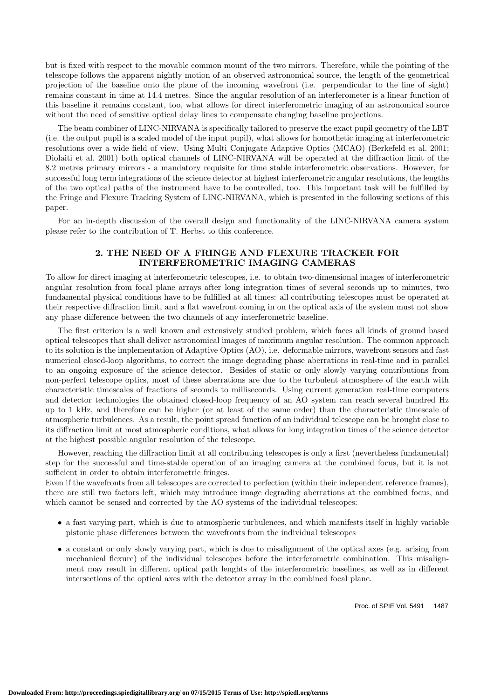but is fixed with respect to the movable common mount of the two mirrors. Therefore, while the pointing of the telescope follows the apparent nightly motion of an observed astronomical source, the length of the geometrical projection of the baseline onto the plane of the incoming wavefront (i.e. perpendicular to the line of sight) remains constant in time at 14.4 metres. Since the angular resolution of an interferometer is a linear function of this baseline it remains constant, too, what allows for direct interferometric imaging of an astronomical source without the need of sensitive optical delay lines to compensate changing baseline projections.

The beam combiner of LINC-NIRVANA is specifically tailored to preserve the exact pupil geometry of the LBT (i.e. the output pupil is a scaled model of the input pupil), what allows for homothetic imaging at interferometric resolutions over a wide field of view. Using Multi Conjugate Adaptive Optics (MCAO) (Berkefeld et al. 2001; Diolaiti et al. 2001) both optical channels of LINC-NIRVANA will be operated at the diffraction limit of the 8.2 metres primary mirrors - a mandatory requisite for time stable interferometric observations. However, for successful long term integrations of the science detector at highest interferometric angular resolutions, the lengths of the two optical paths of the instrument have to be controlled, too. This important task will be fulfilled by the Fringe and Flexure Tracking System of LINC-NIRVANA, which is presented in the following sections of this paper.

For an in-depth discussion of the overall design and functionality of the LINC-NIRVANA camera system please refer to the contribution of T. Herbst to this conference.

## **2. THE NEED OF A FRINGE AND FLEXURE TRACKER FOR INTERFEROMETRIC IMAGING CAMERAS**

To allow for direct imaging at interferometric telescopes, i.e. to obtain two-dimensional images of interferometric angular resolution from focal plane arrays after long integration times of several seconds up to minutes, two fundamental physical conditions have to be fulfilled at all times: all contributing telescopes must be operated at their respective diffraction limit, and a flat wavefront coming in on the optical axis of the system must not show any phase difference between the two channels of any interferometric baseline.

The first criterion is a well known and extensively studied problem, which faces all kinds of ground based optical telescopes that shall deliver astronomical images of maximum angular resolution. The common approach to its solution is the implementation of Adaptive Optics (AO), i.e. deformable mirrors, wavefront sensors and fast numerical closed-loop algorithms, to correct the image degrading phase aberrations in real-time and in parallel to an ongoing exposure of the science detector. Besides of static or only slowly varying contributions from non-perfect telescope optics, most of these aberrations are due to the turbulent atmosphere of the earth with characteristic timescales of fractions of seconds to milliseconds. Using current generation real-time computers and detector technologies the obtained closed-loop frequency of an AO system can reach several hundred Hz up to 1 kHz, and therefore can be higher (or at least of the same order) than the characteristic timescale of atmospheric turbulences. As a result, the point spread function of an individual telescope can be brought close to its diffraction limit at most atmospheric conditions, what allows for long integration times of the science detector at the highest possible angular resolution of the telescope.

However, reaching the diffraction limit at all contributing telescopes is only a first (nevertheless fundamental) step for the successful and time-stable operation of an imaging camera at the combined focus, but it is not sufficient in order to obtain interferometric fringes.

Even if the wavefronts from all telescopes are corrected to perfection (within their independent reference frames), there are still two factors left, which may introduce image degrading aberrations at the combined focus, and which cannot be sensed and corrected by the AO systems of the individual telescopes:

- a fast varying part, which is due to atmospheric turbulences, and which manifests itself in highly variable pistonic phase differences between the wavefronts from the individual telescopes
- a constant or only slowly varying part, which is due to misalignment of the optical axes (e.g. arising from mechanical flexure) of the individual telescopes before the interferometric combination. This misalignment may result in different optical path lenghts of the interferometric baselines, as well as in different intersections of the optical axes with the detector array in the combined focal plane.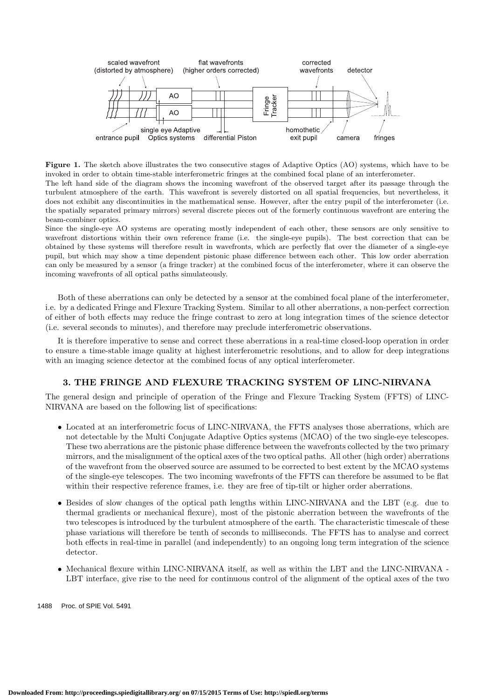

**Figure 1.** The sketch above illustrates the two consecutive stages of Adaptive Optics (AO) systems, which have to be invoked in order to obtain time-stable interferometric fringes at the combined focal plane of an interferometer. The left hand side of the diagram shows the incoming wavefront of the observed target after its passage through the turbulent atmosphere of the earth. This wavefront is severely distorted on all spatial frequencies, but nevertheless, it does not exhibit any discontinuities in the mathematical sense. However, after the entry pupil of the interferometer (i.e. the spatially separated primary mirrors) several discrete pieces out of the formerly continuous wavefront are entering the beam-combiner optics.

Since the single-eye AO systems are operating mostly independent of each other, these sensors are only sensitive to wavefront distortions within their own reference frame (i.e. the single-eye pupils). The best correction that can be obtained by these systems will therefore result in wavefronts, which are perfectly flat over the diameter of a single-eye pupil, but which may show a time dependent pistonic phase difference between each other. This low order aberration can only be measured by a sensor (a fringe tracker) at the combined focus of the interferometer, where it can observe the incoming wavefronts of all optical paths simulateously.

Both of these aberrations can only be detected by a sensor at the combined focal plane of the interferometer, i.e. by a dedicated Fringe and Flexure Tracking System. Similar to all other aberrations, a non-perfect correction of either of both effects may reduce the fringe contrast to zero at long integration times of the science detector (i.e. several seconds to minutes), and therefore may preclude interferometric observations.

It is therefore imperative to sense and correct these aberrations in a real-time closed-loop operation in order to ensure a time-stable image quality at highest interferometric resolutions, and to allow for deep integrations with an imaging science detector at the combined focus of any optical interferometer.

## **3. THE FRINGE AND FLEXURE TRACKING SYSTEM OF LINC-NIRVANA**

The general design and principle of operation of the Fringe and Flexure Tracking System (FFTS) of LINC-NIRVANA are based on the following list of specifications:

- Located at an interferometric focus of LINC-NIRVANA, the FFTS analyses those aberrations, which are not detectable by the Multi Conjugate Adaptive Optics systems (MCAO) of the two single-eye telescopes. These two aberrations are the pistonic phase difference between the wavefronts collected by the two primary mirrors, and the misalignment of the optical axes of the two optical paths. All other (high order) aberrations of the wavefront from the observed source are assumed to be corrected to best extent by the MCAO systems of the single-eye telescopes. The two incoming wavefronts of the FFTS can therefore be assumed to be flat within their respective reference frames, i.e. they are free of tip-tilt or higher order aberrations.
- Besides of slow changes of the optical path lengths within LINC-NIRVANA and the LBT (e.g. due to thermal gradients or mechanical flexure), most of the pistonic aberration between the wavefronts of the two telescopes is introduced by the turbulent atmosphere of the earth. The characteristic timescale of these phase variations will therefore be tenth of seconds to milliseconds. The FFTS has to analyse and correct both effects in real-time in parallel (and independently) to an ongoing long term integration of the science detector.
- Mechanical flexure within LINC-NIRVANA itself, as well as within the LBT and the LINC-NIRVANA LBT interface, give rise to the need for continuous control of the alignment of the optical axes of the two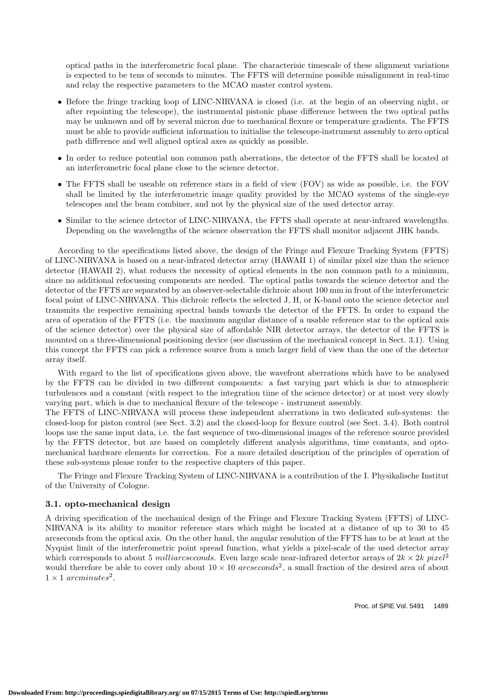optical paths in the interferometric focal plane. The characterisic timescale of these alignment variations is expected to be tens of seconds to minutes. The FFTS will determine possible misalignment in real-time and relay the respective parameters to the MCAO master control system.

- Before the fringe tracking loop of LINC-NIRVANA is closed (i.e. at the begin of an observing night, or after repointing the telescope), the instrumental pistonic phase difference between the two optical paths may be unknown and off by several micron due to mechanical flexure or temperature gradients. The FFTS must be able to provide sufficient information to initialise the telescope-instrument assembly to zero optical path difference and well aligned optical axes as quickly as possible.
- In order to reduce potential non common path aberrations, the detector of the FFTS shall be located at an interferometric focal plane close to the science detector.
- The FFTS shall be useable on reference stars in a field of view (FOV) as wide as possible, i.e. the FOV shall be limited by the interferometric image quality provided by the MCAO systems of the single-eye telescopes and the beam combiner, and not by the physical size of the used detector array.
- Similar to the science detector of LINC-NIRVANA, the FFTS shall operate at near-infrared wavelengths. Depending on the wavelengths of the science observation the FFTS shall monitor adjacent JHK bands.

According to the specifications listed above, the design of the Fringe and Flexure Tracking System (FFTS) of LINC-NIRVANA is based on a near-infrared detector array (HAWAII 1) of similar pixel size than the science detector (HAWAII 2), what reduces the necessity of optical elements in the non common path to a minimum, since no additional refocussing components are needed. The optical paths towards the science detector and the detector of the FFTS are separated by an observer-selectable dichroic about 100 mm in front of the interferometric focal point of LINC-NIRVANA. This dichroic reflects the selected J, H, or K-band onto the science detector and transmits the respective remaining spectral bands towards the detector of the FFTS. In order to expand the area of operation of the FFTS (i.e. the maximum angular distance of a usable reference star to the optical axis of the science detector) over the physical size of affordable NIR detector arrays, the detector of the FFTS is mounted on a three-dimensional positioning device (see discussion of the mechanical concept in Sect. 3.1). Using this concept the FFTS can pick a reference source from a much larger field of view than the one of the detector array itself.

With regard to the list of specifications given above, the wavefront aberrations which have to be analysed by the FFTS can be divided in two different components: a fast varying part which is due to atmospheric turbulences and a constant (with respect to the integration time of the science detector) or at most very slowly varying part, which is due to mechanical flexure of the telescope - instrument assembly.

The FFTS of LINC-NIRVANA will process these independent aberrations in two dedicated sub-systems: the closed-loop for piston control (see Sect. 3.2) and the closed-loop for flexure control (see Sect. 3.4). Both control loops use the same input data, i.e. the fast sequence of two-dimensional images of the reference source provided by the FFTS detector, but are based on completely different analysis algorithms, time constants, and optomechanical hardware elements for correction. For a more detailed description of the principles of operation of these sub-systems please ronfer to the respective chapters of this paper.

The Fringe and Flexure Tracking System of LINC-NIRVANA is a contribution of the I. Physikalische Institut of the University of Cologne.

#### **3.1. opto-mechanical design**

A driving specification of the mechanical design of the Fringe and Flexure Tracking System (FFTS) of LINC-NIRVANA is its ability to monitor reference stars which might be located at a distance of up to 30 to 45 arcseconds from the optical axis. On the other hand, the angular resolution of the FFTS has to be at least at the Nyquist limit of the interferometric point spread function, what yields a pixel-scale of the used detector array which corresponds to about 5 milliarcseconds. Even large scale near-infrared detector arrays of  $2k \times 2k$  pixel<sup>2</sup> would therefore be able to cover only about  $10 \times 10$  arcseconds<sup>2</sup>, a small fraction of the desired area of about  $1 \times 1$  arcminutes<sup>2</sup>.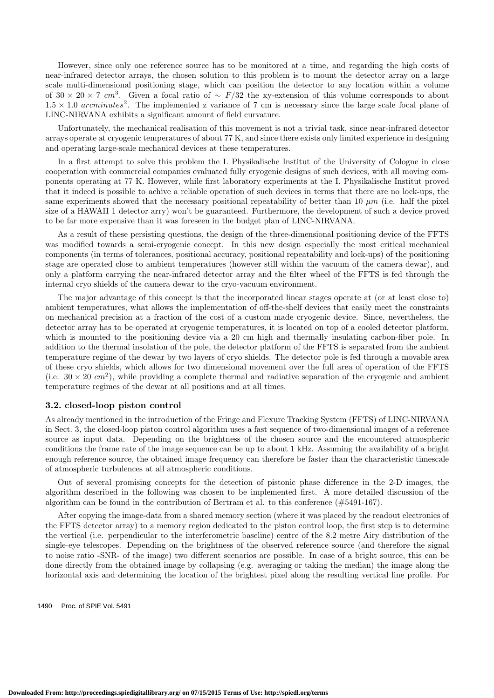However, since only one reference source has to be monitored at a time, and regarding the high costs of near-infrared detector arrays, the chosen solution to this problem is to mount the detector array on a large scale multi-dimensional positioning stage, which can position the detector to any location within a volume of 30 × 20 × 7 cm<sup>3</sup>. Given a focal ratio of ∼ F/32 the xy-extension of this volume corresponds to about  $1.5 \times 1.0$  arcminutes<sup>2</sup>. The implemented z variance of 7 cm is necessary since the large scale focal plane of LINC-NIRVANA exhibits a significant amount of field curvature.

Unfortunately, the mechanical realisation of this movement is not a trivial task, since near-infrared detector arrays operate at cryogenic temperatures of about 77 K, and since there exists only limited experience in designing and operating large-scale mechanical devices at these temperatures.

In a first attempt to solve this problem the I. Physikalische Institut of the University of Cologne in close cooperation with commercial companies evaluated fully cryogenic designs of such devices, with all moving components operating at 77 K. However, while first laboratory experiments at the I. Physikalische Institut proved that it indeed is possible to achive a reliable operation of such devices in terms that there are no lock-ups, the same experiments showed that the necessary positional repeatability of better than 10  $\mu$ m (i.e. half the pixel size of a HAWAII 1 detector arry) won't be guaranteed. Furthermore, the development of such a device proved to be far more expensive than it was foreseen in the budget plan of LINC-NIRVANA.

As a result of these persisting questions, the design of the three-dimensional positioning device of the FFTS was modified towards a semi-cryogenic concept. In this new design especially the most critical mechanical components (in terms of tolerances, positional accuracy, positional repeatability and lock-ups) of the positioning stage are operated close to ambient temperatures (however still within the vacuum of the camera dewar), and only a platform carrying the near-infrared detector array and the filter wheel of the FFTS is fed through the internal cryo shields of the camera dewar to the cryo-vacuum environment.

The major advantage of this concept is that the incorporated linear stages operate at (or at least close to) ambient temperatures, what allows the implementation of off-the-shelf devices that easily meet the constraints on mechanical precision at a fraction of the cost of a custom made cryogenic device. Since, nevertheless, the detector array has to be operated at cryogenic temperatures, it is located on top of a cooled detector platform, which is mounted to the positioning device via a 20 cm high and thermally insulating carbon-fiber pole. In addition to the thermal insolation of the pole, the detector platform of the FFTS is separated from the ambient temperature regime of the dewar by two layers of cryo shields. The detector pole is fed through a movable area of these cryo shields, which allows for two dimensional movement over the full area of operation of the FFTS (i.e.  $30 \times 20$  cm<sup>2</sup>), while providing a complete thermal and radiative separation of the cryogenic and ambient temperature regimes of the dewar at all positions and at all times.

### **3.2. closed-loop piston control**

As already mentioned in the introduction of the Fringe and Flexure Tracking System (FFTS) of LINC-NIRVANA in Sect. 3, the closed-loop piston control algorithm uses a fast sequence of two-dimensional images of a reference source as input data. Depending on the brightness of the chosen source and the encountered atmospheric conditions the frame rate of the image sequence can be up to about 1 kHz. Assuming the availability of a bright enough reference source, the obtained image frequency can therefore be faster than the characteristic timescale of atmospheric turbulences at all atmospheric conditions.

Out of several promising concepts for the detection of pistonic phase difference in the 2-D images, the algorithm described in the following was chosen to be implemented first. A more detailed discussion of the algorithm can be found in the contribution of Bertram et al. to this conference  $(\#5491-167)$ .

After copying the image-data from a shared memory section (where it was placed by the readout electronics of the FFTS detector array) to a memory region dedicated to the piston control loop, the first step is to determine the vertical (i.e. perpendicular to the interferometric baseline) centre of the 8.2 metre Airy distribution of the single-eye telescopes. Depending on the brightness of the observed reference source (and therefore the signal to noise ratio -SNR- of the image) two different scenarios are possible. In case of a bright source, this can be done directly from the obtained image by collapsing (e.g. averaging or taking the median) the image along the horizontal axis and determining the location of the brightest pixel along the resulting vertical line profile. For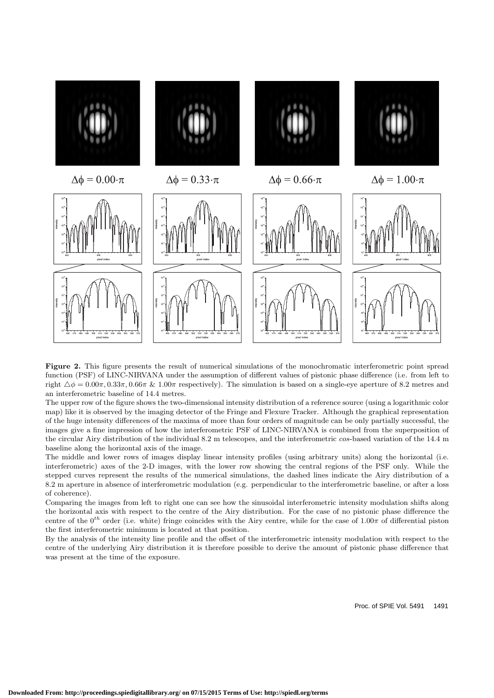

Figure 2. This figure presents the result of numerical simulations of the monochromatic interferometric point spread function (PSF) of LINC-NIRVANA under the assumption of different values of pistonic phase difference (i.e. from left to right  $\Delta\phi = 0.00\pi, 0.33\pi, 0.66\pi$  & 1.00 $\pi$  respectively). The simulation is based on a single-eye aperture of 8.2 metres and an interferometric baseline of 14.4 metres.

The upper row of the figure shows the two-dimensional intensity distribution of a reference source (using a logarithmic color map) like it is observed by the imaging detector of the Fringe and Flexure Tracker. Although the graphical representation of the huge intensity differences of the maxima of more than four orders of magnitude can be only partially successful, the images give a fine impression of how the interferometric PSF of LINC-NIRVANA is combined from the superposition of the circular Airy distribution of the individual 8.2 m telescopes, and the interferometric cos-based variation of the 14.4 m baseline along the horizontal axis of the image.

The middle and lower rows of images display linear intensity profiles (using arbitrary units) along the horizontal (i.e. interferometric) axes of the 2-D images, with the lower row showing the central regions of the PSF only. While the stepped curves represent the results of the numerical simulations, the dashed lines indicate the Airy distribution of a 8.2 m aperture in absence of interferometric modulation (e.g. perpendicular to the interferometric baseline, or after a loss of coherence).

Comparing the images from left to right one can see how the sinusoidal interferometric intensity modulation shifts along the horizontal axis with respect to the centre of the Airy distribution. For the case of no pistonic phase difference the centre of the  $0^{th}$  order (i.e. white) fringe coincides with the Airy centre, while for the case of  $1.00\pi$  of differential piston the first interferometric minimum is located at that position.

By the analysis of the intensity line profile and the offset of the interferometric intensity modulation with respect to the centre of the underlying Airy distribution it is therefore possible to derive the amount of pistonic phase difference that was present at the time of the exposure.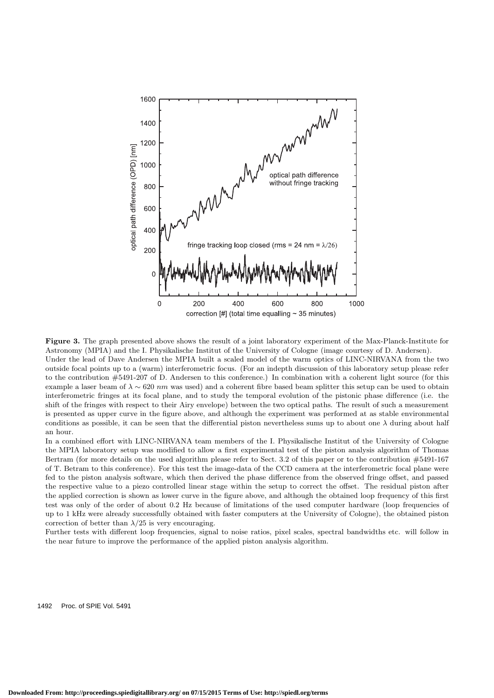

**Figure 3.** The graph presented above shows the result of a joint laboratory experiment of the Max-Planck-Institute for Astronomy (MPIA) and the I. Physikalische Institut of the University of Cologne (image courtesy of D. Andersen). Under the lead of Dave Andersen the MPIA built a scaled model of the warm optics of LINC-NIRVANA from the two outside focal points up to a (warm) interferometric focus. (For an indepth discussion of this laboratory setup please refer to the contribution #5491-207 of D. Andersen to this conference.) In combination with a coherent light source (for this example a laser beam of  $\lambda \sim 620 \ nm$  was used) and a coherent fibre based beam splitter this setup can be used to obtain interferometric fringes at its focal plane, and to study the temporal evolution of the pistonic phase difference (i.e. the shift of the fringes with respect to their Airy envelope) between the two optical paths. The result of such a measurement is presented as upper curve in the figure above, and although the experiment was performed at as stable environmental conditions as possible, it can be seen that the differential piston nevertheless sums up to about one  $\lambda$  during about half an hour.

In a combined effort with LINC-NIRVANA team members of the I. Physikalische Institut of the University of Cologne the MPIA laboratory setup was modified to allow a first experimental test of the piston analysis algorithm of Thomas Bertram (for more details on the used algorithm please refer to Sect. 3.2 of this paper or to the contribution #5491-167 of T. Betram to this conference). For this test the image-data of the CCD camera at the interferometric focal plane were fed to the piston analysis software, which then derived the phase difference from the observed fringe offset, and passed the respective value to a piezo controlled linear stage within the setup to correct the offset. The residual piston after the applied correction is shown as lower curve in the figure above, and although the obtained loop frequency of this first test was only of the order of about 0.2 Hz because of limitations of the used computer hardware (loop frequencies of up to 1 kHz were already successfully obtained with faster computers at the University of Cologne), the obtained piston correction of better than  $\lambda/25$  is very encouraging.

Further tests with different loop frequencies, signal to noise ratios, pixel scales, spectral bandwidths etc. will follow in the near future to improve the performance of the applied piston analysis algorithm.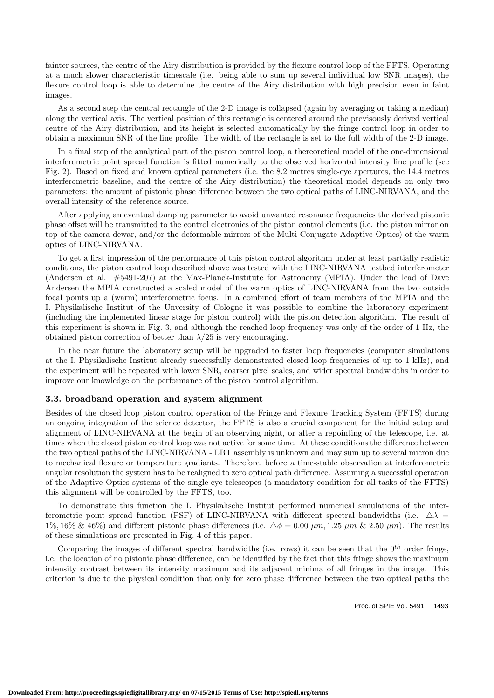fainter sources, the centre of the Airy distribution is provided by the flexure control loop of the FFTS. Operating at a much slower characteristic timescale (i.e. being able to sum up several individual low SNR images), the flexure control loop is able to determine the centre of the Airy distribution with high precision even in faint images.

As a second step the central rectangle of the 2-D image is collapsed (again by averaging or taking a median) along the vertical axis. The vertical position of this rectangle is centered around the previsously derived vertical centre of the Airy distribution, and its height is selected automatically by the fringe control loop in order to obtain a maximum SNR of the line profile. The width of the rectangle is set to the full width of the 2-D image.

In a final step of the analytical part of the piston control loop, a thereoretical model of the one-dimensional interferometric point spread function is fitted numerically to the observed horizontal intensity line profile (see Fig. 2). Based on fixed and known optical parameters (i.e. the 8.2 metres single-eye apertures, the 14.4 metres interferometric baseline, and the centre of the Airy distribution) the theoretical model depends on only two parameters: the amount of pistonic phase difference between the two optical paths of LINC-NIRVANA, and the overall intensity of the reference source.

After applying an eventual damping parameter to avoid unwanted resonance frequencies the derived pistonic phase offset will be transmitted to the control electronics of the piston control elements (i.e. the piston mirror on top of the camera dewar, and/or the deformable mirrors of the Multi Conjugate Adaptive Optics) of the warm optics of LINC-NIRVANA.

To get a first impression of the performance of this piston control algorithm under at least partially realistic conditions, the piston control loop described above was tested with the LINC-NIRVANA testbed interferometer (Andersen et al. #5491-207) at the Max-Planck-Institute for Astronomy (MPIA). Under the lead of Dave Andersen the MPIA constructed a scaled model of the warm optics of LINC-NIRVANA from the two outside focal points up a (warm) interferometric focus. In a combined effort of team members of the MPIA and the I. Physikalische Institut of the Unversity of Cologne it was possible to combine the laboratory experiment (including the implemented linear stage for piston control) with the piston detection algorithm. The result of this experiment is shown in Fig. 3, and although the reached loop frequency was only of the order of 1 Hz, the obtained piston correction of better than  $\lambda/25$  is very encouraging.

In the near future the laboratory setup will be upgraded to faster loop frequencies (computer simulations at the I. Physikalische Institut already successfully demonstrated closed loop frequencies of up to 1 kHz), and the experiment will be repeated with lower SNR, coarser pixel scales, and wider spectral bandwidths in order to improve our knowledge on the performance of the piston control algorithm.

#### **3.3. broadband operation and system alignment**

Besides of the closed loop piston control operation of the Fringe and Flexure Tracking System (FFTS) during an ongoing integration of the science detector, the FFTS is also a crucial component for the initial setup and alignment of LINC-NIRVANA at the begin of an observing night, or after a repointing of the telescope, i.e. at times when the closed piston control loop was not active for some time. At these conditions the difference between the two optical paths of the LINC-NIRVANA - LBT assembly is unknown and may sum up to several micron due to mechanical flexure or temperature gradiants. Therefore, before a time-stable observation at interferometric angular resolution the system has to be realigned to zero optical path difference. Assuming a successful operation of the Adaptive Optics systems of the single-eye telescopes (a mandatory condition for all tasks of the FFTS) this alignment will be controlled by the FFTS, too.

To demonstrate this function the I. Physikalische Institut performed numerical simulations of the interferometric point spread function (PSF) of LINC-NIRVANA with different spectral bandwidths (i.e.  $\triangle \lambda$  = 1%, 16% & 46%) and different pistonic phase differences (i.e.  $\Delta\phi = 0.00 \ \mu m, 1.25 \ \mu m$  & 2.50  $\mu$ m). The results of these simulations are presented in Fig. 4 of this paper.

Comparing the images of different spectral bandwidths (i.e. rows) it can be seen that the  $0^{th}$  order fringe, i.e. the location of no pistonic phase difference, can be identified by the fact that this fringe shows the maximum intensity contrast between its intensity maximum and its adjacent minima of all fringes in the image. This criterion is due to the physical condition that only for zero phase difference between the two optical paths the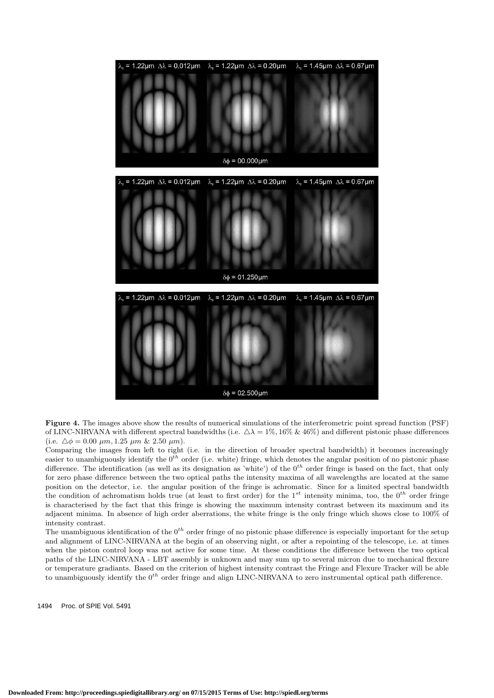

**Figure 4.** The images above show the results of numerical simulations of the interferometric point spread function (PSF) of LINC-NIRVANA with different spectral bandwidths (i.e.  $\Delta \lambda = 1\%$ , 16% & 46%) and different pistonic phase differences (i.e.  $\Delta \phi = 0.00 \ \mu m, 1.25 \ \mu m \ \& \ 2.50 \ \mu m$ ).

Comparing the images from left to right (i.e. in the direction of broader spectral bandwidth) it becomes increasingly easier to unambiguously identify the 0<sup>th</sup> order (i.e. white) fringe, which denotes the angular position of no pistonic phase difference. The identification (as well as its designation as 'white') of the 0*th* order fringe is based on the fact, that only for zero phase difference between the two optical paths the intensity maxima of all wavelengths are located at the same position on the detector, i.e. the angular position of the fringe is achromatic. Since for a limited spectral bandwidth the condition of achromatism holds true (at least to first order) for the 1*st* intensity minima, too, the 0*th* order fringe is characterised by the fact that this fringe is showing the maximum intensity contrast between its maximum and its adjacent minima. In absence of high order aberrations, the white fringe is the only fringe which shows close to 100% of intensity contrast.

The unambiguous identification of the 0*th* order fringe of no pistonic phase difference is especially important for the setup and alignment of LINC-NIRVANA at the begin of an observing night, or after a repointing of the telescope, i.e. at times when the piston control loop was not active for some time. At these conditions the difference between the two optical paths of the LINC-NIRVANA - LBT assembly is unknown and may sum up to several micron due to mechanical flexure or temperature gradiants. Based on the criterion of highest intensity contrast the Fringe and Flexure Tracker will be able to unambiguously identify the 0*th* order fringe and align LINC-NIRVANA to zero instrumental optical path difference.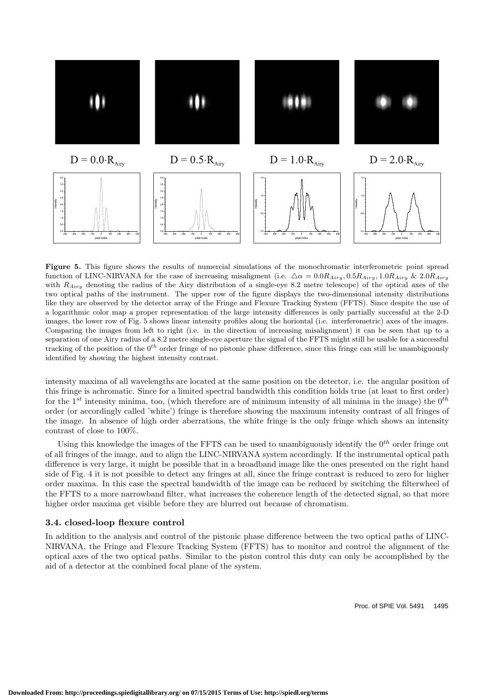

Figure 5. This figure shows the results of numercial simulations of the monochromatic interferometric point spread function of LINC-NIRVANA for the case of increasing misaligment (i.e.  $\Delta \alpha = 0.0R_{Airy}$ , 0.5 $R_{Airy}$ , 1.0 $R_{Airy}$  & 2.0 $R_{Airy}$ with R*Airy* denoting the radius of the Airy distribution of a single-eye 8.2 metre telescope) of the optical axes of the two optical paths of the instrument. The upper row of the figure displays the two-dimensional intensity distributions like they are observed by the detector array of the Fringe and Flexure Tracking System (FFTS). Since despite the use of a logarithmic color map a proper representation of the large intensity differences is only partially successful at the 2-D images, the lower row of Fig. 5 shows linear intensity profiles along the horiontal (i.e. interferometric) axes of the images. Comparing the images from left to right (i.e. in the direction of increasing misalignment) it can be seen that up to a separation of one Airy radius of a 8.2 metre single-eye aperture the signal of the FFTS might still be usable for a successful tracking of the position of the 0*th* order fringe of no pistonic phase difference, since this fringe can still be unambiguously identified by showing the highest intensity contrast.

intensity maxima of all wavelengths are located at the same position on the detector, i.e. the angular position of this fringe is achromatic. Since for a limited spectral bandwidth this condition holds true (at least to first order) for the 1*st* intensity minima, too, (which therefore are of minimum intensity of all minima in the image) the 0*th* order (or accordingly called 'white') fringe is therefore showing the maximum intensity contrast of all fringes of the image. In absence of high order aberrations, the white fringe is the only fringe which shows an intensity contrast of close to 100%.

Using this knowledge the images of the FFTS can be used to unambiguously identify the 0*th* order fringe out of all fringes of the image, and to align the LINC-NIRVANA system accordingly. If the instrumental optical path difference is very large, it might be possible that in a broadband image like the ones presented on the right hand side of Fig. 4 it is not possible to detect any fringes at all, since the fringe contrast is reduced to zero for higher order maxima. In this case the spectral bandwidth of the image can be reduced by switching the filterwheel of the FFTS to a more narrowband filter, what increases the coherence length of the detected signal, so that more higher order maxima get visible before they are blurred out because of chromatism.

## **3.4. closed-loop flexure control**

In addition to the analysis and control of the pistonic phase difference between the two optical paths of LINC-NIRVANA, the Fringe and Flexure Tracking System (FFTS) has to monitor and control the alignment of the optical axes of the two optical paths. Similar to the piston control this duty can only be accomplished by the aid of a detector at the combined focal plane of the system.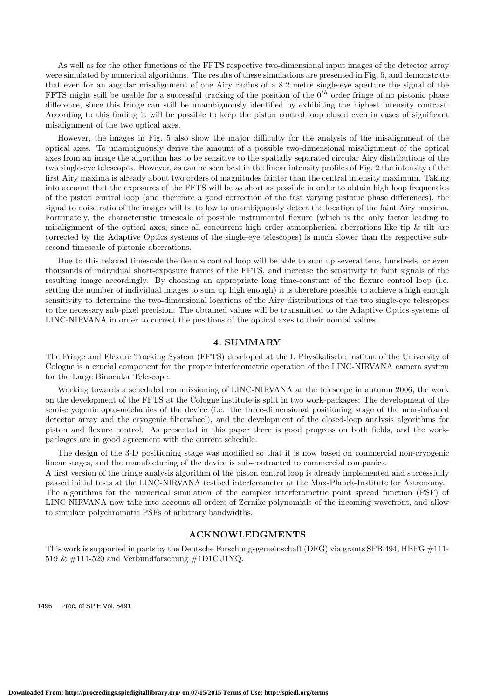As well as for the other functions of the FFTS respective two-dimensional input images of the detector array were simulated by numerical algorithms. The results of these simulations are presented in Fig. 5, and demonstrate that even for an angular misalignment of one Airy radius of a 8.2 metre single-eye aperture the signal of the FFTS might still be usable for a successful tracking of the position of the 0*th* order fringe of no pistonic phase difference, since this fringe can still be unambiguously identified by exhibiting the highest intensity contrast. According to this finding it will be possible to keep the piston control loop closed even in cases of significant misalignment of the two optical axes.

However, the images in Fig. 5 also show the major difficulty for the analysis of the misalignment of the optical axes. To unambiguously derive the amount of a possible two-dimensional misalignment of the optical axes from an image the algorithm has to be sensitive to the spatially separated circular Airy distributions of the two single-eye telescopes. However, as can be seen best in the linear intensity profiles of Fig. 2 the intensity of the first Airy maxima is already about two orders of magnitudes fainter than the central intensity maximum. Taking into account that the exposures of the FFTS will be as short as possible in order to obtain high loop frequencies of the piston control loop (and therefore a good correction of the fast varying pistonic phase differences), the signal to noise ratio of the images will be to low to unambiguously detect the location of the faint Airy maxima. Fortunately, the characteristic timescale of possible instrumental flexure (which is the only factor leading to misalignment of the optical axes, since all concurrent high order atmospherical aberrations like tip & tilt are corrected by the Adaptive Optics systems of the single-eye telescopes) is much slower than the respective subsecond timescale of pistonic aberrations.

Due to this relaxed timescale the flexure control loop will be able to sum up several tens, hundreds, or even thousands of individual short-exposure frames of the FFTS, and increase the sensitivity to faint signals of the resulting image accordingly. By choosing an appropriate long time-constant of the flexure control loop (i.e. setting the number of individual images to sum up high enough) it is therefore possible to achieve a high enough sensitivity to determine the two-dimensional locations of the Airy distributions of the two single-eye telescopes to the necessary sub-pixel precision. The obtained values will be transmitted to the Adaptive Optics systems of LINC-NIRVANA in order to correct the positions of the optical axes to their nomial values.

#### **4. SUMMARY**

The Fringe and Flexure Tracking System (FFTS) developed at the I. Physikalische Institut of the University of Cologne is a crucial component for the proper interferometric operation of the LINC-NIRVANA camera system for the Large Binocular Telescope.

Working towards a scheduled commissioning of LINC-NIRVANA at the telescope in autumn 2006, the work on the development of the FFTS at the Cologne institute is split in two work-packages: The development of the semi-cryogenic opto-mechanics of the device (i.e. the three-dimensional positioning stage of the near-infrared detector array and the cryogenic filterwheel), and the development of the closed-loop analysis algorithms for piston and flexure control. As presented in this paper there is good progress on both fields, and the workpackages are in good agreement with the current schedule.

The design of the 3-D positioning stage was modified so that it is now based on commercial non-cryogenic linear stages, and the manufacturing of the device is sub-contracted to commercial companies.

A first version of the fringe analysis algorithm of the piston control loop is already implemented and successfully passed initial tests at the LINC-NIRVANA testbed interferometer at the Max-Planck-Institute for Astronomy.

The algorithms for the numerical simulation of the complex interferometric point spread function (PSF) of LINC-NIRVANA now take into account all orders of Zernike polynomials of the incoming wavefront, and allow to simulate polychromatic PSFs of arbitrary bandwidths.

### **ACKNOWLEDGMENTS**

This work is supported in parts by the Deutsche Forschungsgemeinschaft (DFG) via grants SFB 494, HBFG #111- 519  $\&$  #111-520 and Verbundforschung #1D1CU1YQ.